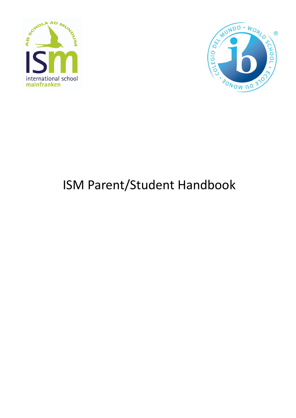



# ISM Parent/Student Handbook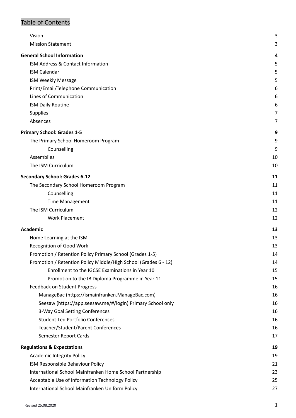# Table of Contents

| Vision                                                          | 3  |
|-----------------------------------------------------------------|----|
| <b>Mission Statement</b>                                        | 3  |
| <b>General School Information</b>                               | 4  |
| ISM Address & Contact Information                               | 5  |
| <b>ISM Calendar</b>                                             | 5  |
| <b>ISM Weekly Message</b>                                       | 5  |
| Print/Email/Telephone Communication                             | 6  |
| Lines of Communication                                          | 6  |
| <b>ISM Daily Routine</b>                                        | 6  |
| <b>Supplies</b>                                                 | 7  |
| Absences                                                        | 7  |
| <b>Primary School: Grades 1-5</b>                               | 9  |
| The Primary School Homeroom Program                             | 9  |
| Counselling                                                     | 9  |
| Assemblies                                                      | 10 |
| The ISM Curriculum                                              | 10 |
| <b>Secondary School: Grades 6-12</b>                            | 11 |
| The Secondary School Homeroom Program                           | 11 |
| Counselling                                                     | 11 |
| <b>Time Management</b>                                          | 11 |
| The ISM Curriculum                                              | 12 |
| <b>Work Placement</b>                                           | 12 |
| <b>Academic</b>                                                 | 13 |
| Home Learning at the ISM                                        | 13 |
| Recognition of Good Work                                        | 13 |
| Promotion / Retention Policy Primary School (Grades 1-5)        | 14 |
| Promotion / Retention Policy Middle/High School (Grades 6 - 12) | 14 |
| Enrollment to the IGCSE Examinations in Year 10                 | 15 |
| Promotion to the IB Diploma Programme in Year 11                | 15 |
| Feedback on Student Progress                                    | 16 |
| ManageBac (https://ismainfranken.ManageBac.com)                 | 16 |
| Seesaw (https://app.seesaw.me/#/login) Primary School only      | 16 |
| 3-Way Goal Setting Conferences                                  | 16 |
| Student-Led Portfolio Conferences                               | 16 |
| Teacher/Student/Parent Conferences                              | 16 |
| Semester Report Cards                                           | 17 |
| <b>Regulations &amp; Expectations</b>                           | 19 |
| <b>Academic Integrity Policy</b>                                | 19 |
| ISM Responsible Behaviour Policy                                | 21 |
| International School Mainfranken Home School Partnership        | 23 |
| Acceptable Use of Information Technology Policy                 | 25 |
| International School Mainfranken Uniform Policy                 | 27 |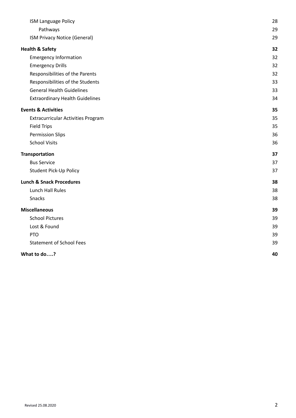| ISM Language Policy                       | 28 |
|-------------------------------------------|----|
| Pathways                                  | 29 |
| ISM Privacy Notice (General)              | 29 |
| <b>Health &amp; Safety</b>                | 32 |
| <b>Emergency Information</b>              | 32 |
| <b>Emergency Drills</b>                   | 32 |
| Responsibilities of the Parents           | 32 |
| Responsibilities of the Students          | 33 |
| <b>General Health Guidelines</b>          | 33 |
| <b>Extraordinary Health Guidelines</b>    | 34 |
| <b>Events &amp; Activities</b>            | 35 |
| <b>Extracurricular Activities Program</b> | 35 |
| <b>Field Trips</b>                        | 35 |
| <b>Permission Slips</b>                   | 36 |
| <b>School Visits</b>                      | 36 |
| <b>Transportation</b>                     | 37 |
| <b>Bus Service</b>                        | 37 |
| Student Pick-Up Policy                    | 37 |
| <b>Lunch &amp; Snack Procedures</b>       | 38 |
| Lunch Hall Rules                          | 38 |
| Snacks                                    | 38 |
| <b>Miscellaneous</b>                      | 39 |
| <b>School Pictures</b>                    | 39 |
| Lost & Found                              | 39 |
| <b>PTO</b>                                | 39 |
| <b>Statement of School Fees</b>           | 39 |
| What to do?                               | 40 |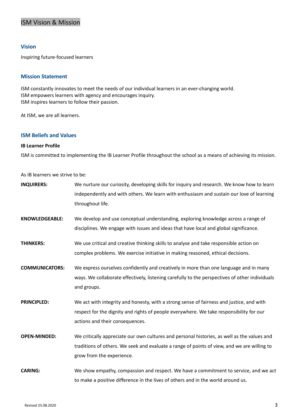# ISM Vision & Mission

## <span id="page-3-0"></span>**Vision**

Inspiring future-focused learners

## <span id="page-3-1"></span>**Mission Statement**

ISM constantly innovates to meet the needs of our individual learners in an ever-changing world. ISM empowers learners with agency and encourages inquiry. ISM inspires learners to follow their passion.

At ISM, we are all learners.

## **ISM Beliefs and Values**

## **IB Learner Profile**

ISM is committed to implementing the IB Learner Profile throughout the school as a means of achieving its mission.

As IB learners we strive to be:

| <b>INQUIRERS:</b>     | We nurture our curiosity, developing skills for inquiry and research. We know how to learn<br>independently and with others. We learn with enthusiasm and sustain our love of learning<br>throughout life.              |
|-----------------------|-------------------------------------------------------------------------------------------------------------------------------------------------------------------------------------------------------------------------|
| <b>KNOWLEDGEABLE:</b> | We develop and use conceptual understanding, exploring knowledge across a range of<br>disciplines. We engage with issues and ideas that have local and global significance.                                             |
| <b>THINKERS:</b>      | We use critical and creative thinking skills to analyse and take responsible action on<br>complex problems. We exercise initiative in making reasoned, ethical decisions.                                               |
| <b>COMMUNICATORS:</b> | We express ourselves confidently and creatively in more than one language and in many<br>ways. We collaborate effectively, listening carefully to the perspectives of other individuals<br>and groups.                  |
| <b>PRINCIPLED:</b>    | We act with integrity and honesty, with a strong sense of fairness and justice, and with<br>respect for the dignity and rights of people everywhere. We take responsibility for our<br>actions and their consequences.  |
| <b>OPEN-MINDED:</b>   | We critically appreciate our own cultures and personal histories, as well as the values and<br>traditions of others. We seek and evaluate a range of points of view, and we are willing to<br>grow from the experience. |
| <b>CARING:</b>        | We show empathy, compassion and respect. We have a commitment to service, and we act<br>to make a positive difference in the lives of others and in the world around us.                                                |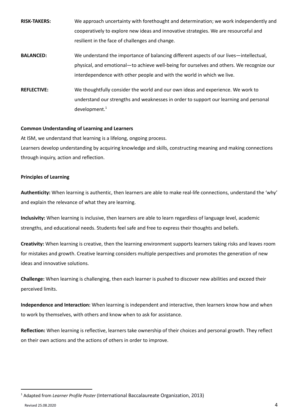| <b>RISK-TAKERS:</b> | We approach uncertainty with forethought and determination; we work independently and    |
|---------------------|------------------------------------------------------------------------------------------|
|                     | cooperatively to explore new ideas and innovative strategies. We are resourceful and     |
|                     | resilient in the face of challenges and change.                                          |
| <b>BALANCED:</b>    | We understand the importance of balancing different aspects of our lives—intellectual,   |
|                     | physical, and emotional—to achieve well-being for ourselves and others. We recognize our |
|                     | interdependence with other people and with the world in which we live.                   |
| <b>REFLECTIVE:</b>  | We thoughtfully consider the world and our own ideas and experience. We work to          |
|                     | understand our strengths and weaknesses in order to support our learning and personal    |
|                     | development. <sup>1</sup>                                                                |

#### **Common Understanding of Learning and Learners**

At ISM, we understand that learning is a lifelong, ongoing process.

Learners develop understanding by acquiring knowledge and skills, constructing meaning and making connections through inquiry, action and reflection.

## **Principles of Learning**

**Authenticity:** When learning is authentic, then learners are able to make real-life connections, understand the 'why' and explain the relevance of what they are learning.

**Inclusivity:** When learning is inclusive, then learners are able to learn regardless of language level, academic strengths, and educational needs. Students feel safe and free to express their thoughts and beliefs.

**Creativity:** When learning is creative, then the learning environment supports learners taking risks and leaves room for mistakes and growth. Creative learning considers multiple perspectives and promotes the generation of new ideas and innovative solutions.

**Challenge:** When learning is challenging, then each learner is pushed to discover new abilities and exceed their perceived limits.

**Independence and Interaction:** When learning is independent and interactive, then learners know how and when to work by themselves, with others and know when to ask for assistance.

**Reflection:** When learning is reflective, learners take ownership of their choices and personal growth. They reflect on their own actions and the actions of others in order to improve.

<sup>1</sup> Adapted from *Learner Profile Poster* (International Baccalaureate Organization, 2013)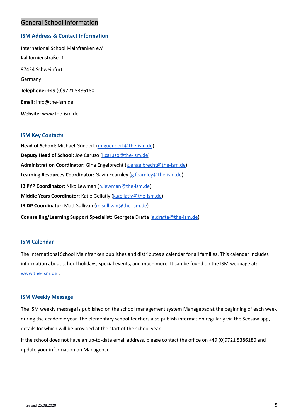# <span id="page-5-0"></span>General School Information

## <span id="page-5-1"></span>**ISM Address & Contact Information**

International School Mainfranken e.V. Kalifornienstraße. 1 97424 Schweinfurt Germany **Telephone:** +49 (0)9721 5386180 **Email:** info@the-ism.de **Website:** www.the-ism.de

## **ISM Key Contacts**

**Head of School:** Michael Gündert [\(m.guendert@the-ism.de](mailto:m.guendert@the-ism.de)) **Deputy Head of School:** Joe Caruso ([j.caruso@the-ism.de](mailto:j.caruso@the-ism.de)) **Administration Coordinator**: Gina Engelbrecht ([g.engelbrecht@the-ism.de\)](mailto:g.engelbrecht@the-ism.de) **Learning Resources Coordinator:** Gavin Fearnley [\(g.fearnley@the-ism.de\)](mailto:g.fearnley@the-ism.de) **IB PYP Coordinator:** Niko Lewman ([n.lewman@the-ism.de\)](mailto:n.lewman@the-ism.de) **Middle Years Coordinator:** Katie Gellatly ([k.gellatly@the-ism.de\)](mailto:k.gellatly@the-ism.de) **IB DP Coordinator:** Matt Sullivan [\(m.sullivan@the-ism.de](mailto:m.sullivan@the-ism.de)) **Counselling/Learning Support Specialist:** Georgeta Drafta ([g.drafta@the-ism.de](mailto:g.drafta@the-ism.de))

## <span id="page-5-2"></span>**ISM Calendar**

The International School Mainfranken publishes and distributes a calendar for all families. This calendar includes information about school holidays, special events, and much more. It can be found on the ISM webpage at: [www.the-ism.de](http://www.the-ism.de) .

#### <span id="page-5-3"></span>**ISM Weekly Message**

The ISM weekly message is published on the school management system Managebac at the beginning of each week during the academic year. The elementary school teachers also publish information regularly via the Seesaw app, details for which will be provided at the start of the school year.

If the school does not have an up-to-date email address, please contact the office on +49 (0)9721 5386180 and update your information on Managebac.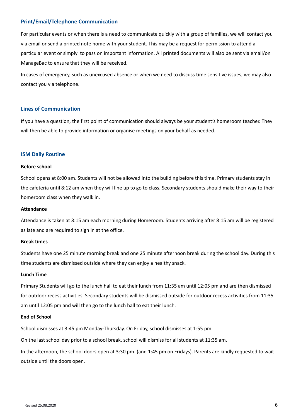## <span id="page-6-0"></span>**Print/Email/Telephone Communication**

For particular events or when there is a need to communicate quickly with a group of families, we will contact you via email or send a printed note home with your student. This may be a request for permission to attend a particular event or simply to pass on important information. All printed documents will also be sent via email/on ManageBac to ensure that they will be received.

In cases of emergency, such as unexcused absence or when we need to discuss time sensitive issues, we may also contact you via telephone.

#### <span id="page-6-1"></span>**Lines of Communication**

If you have a question, the first point of communication should always be your student's homeroom teacher. They will then be able to provide information or organise meetings on your behalf as needed.

#### <span id="page-6-2"></span>**ISM Daily Routine**

#### **Before school**

School opens at 8:00 am. Students will not be allowed into the building before this time. Primary students stay in the cafeteria until 8:12 am when they will line up to go to class. Secondary students should make their way to their homeroom class when they walk in.

#### **Attendance**

Attendance is taken at 8:15 am each morning during Homeroom. Students arriving after 8:15 am will be registered as late and are required to sign in at the office.

#### **Break times**

Students have one 25 minute morning break and one 25 minute afternoon break during the school day. During this time students are dismissed outside where they can enjoy a healthy snack.

#### **Lunch Time**

Primary Students will go to the lunch hall to eat their lunch from 11:35 am until 12:05 pm and are then dismissed for outdoor recess activities. Secondary students will be dismissed outside for outdoor recess activities from 11:35 am until 12:05 pm and will then go to the lunch hall to eat their lunch.

#### **End of School**

School dismisses at 3:45 pm Monday-Thursday. On Friday, school dismisses at 1:55 pm.

On the last school day prior to a school break, school will dismiss for all students at 11:35 am.

In the afternoon, the school doors open at 3:30 pm. (and 1:45 pm on Fridays). Parents are kindly requested to wait outside until the doors open.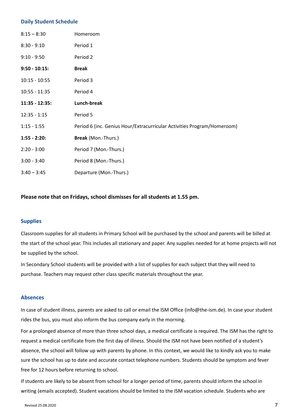#### **Daily Student Schedule**

| $8:15 - 8:30$     | Homeroom                                                                |
|-------------------|-------------------------------------------------------------------------|
| $8:30 - 9:10$     | Period 1                                                                |
| $9:10 - 9:50$     | Period 2                                                                |
| $9:50 - 10:15$ :  | <b>Break</b>                                                            |
| $10:15 - 10:55$   | Period 3                                                                |
| $10:55 - 11:35$   | Period 4                                                                |
| $11:35 - 12:35$ : | Lunch-break                                                             |
| $12:35 - 1:15$    | Period 5                                                                |
| $1:15 - 1:55$     | Period 6 (inc. Genius Hour/Extracurricular Activities Program/Homeroom) |
| $1:55 - 2:20:$    | Break (Mon.-Thurs.)                                                     |
| $2:20 - 3:00$     | Period 7 (Mon.-Thurs.)                                                  |
| $3:00 - 3:40$     | Period 8 (Mon.-Thurs.)                                                  |
| $3:40 - 3:45$     | Departure (Mon.-Thurs.)                                                 |

## **Please note that on Fridays, school dismisses for all students at 1.55 pm.**

## <span id="page-7-0"></span>**Supplies**

Classroom supplies for all students in Primary School will be purchased by the school and parents will be billed at the start of the school year. This includes all stationary and paper. Any supplies needed for at home projects will not be supplied by the school.

In Secondary School students will be provided with a list of supplies for each subject that they will need to purchase. Teachers may request other class specific materials throughout the year.

#### <span id="page-7-1"></span>**Absences**

In case of student illness, parents are asked to call or email the ISM Office [\(info@](mailto:info@international-school-mainfranken.de)the-ism.de). In case your student rides the bus, you must also inform the bus company early in the morning.

For a prolonged absence of more than three school days, a medical certificate is required. The ISM has the right to request a medical certificate from the first day of illness. Should the ISM not have been notified of a student's absence, the school will follow up with parents by phone. In this context, we would like to kindly ask you to make sure the school has up to date and accurate contact telephone numbers. Students should be symptom and fever free for 12 hours before returning to school.

If students are likely to be absent from school for a longer period of time, parents should inform the school in writing (emails accepted). Student vacations should be limited to the ISM vacation schedule. Students who are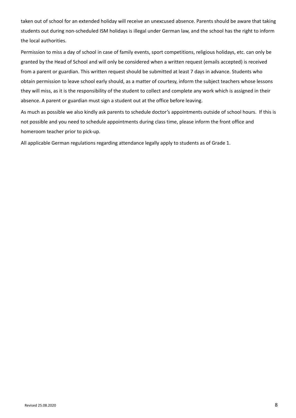taken out of school for an extended holiday will receive an unexcused absence. Parents should be aware that taking students out during non-scheduled ISM holidays is illegal under German law, and the school has the right to inform the local authorities.

Permission to miss a day of school in case of family events, sport competitions, religious holidays, etc. can only be granted by the Head of School and will only be considered when a written request (emails accepted) is received from a parent or guardian. This written request should be submitted at least 7 days in advance. Students who obtain permission to leave school early should, as a matter of courtesy, inform the subject teachers whose lessons they will miss, as it is the responsibility of the student to collect and complete any work which is assigned in their absence. A parent or guardian must sign a student out at the office before leaving.

As much as possible we also kindly ask parents to schedule doctor's appointments outside of school hours. If this is not possible and you need to schedule appointments during class time, please inform the front office and homeroom teacher prior to pick-up.

All applicable German regulations regarding attendance legally apply to students as of Grade 1.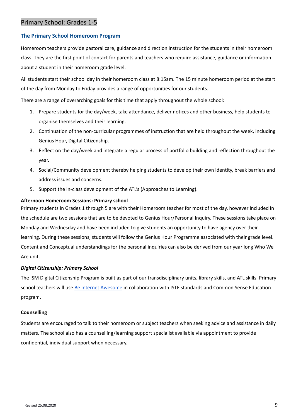# <span id="page-9-0"></span>Primary School: Grades 1-5

## <span id="page-9-1"></span>**The Primary School Homeroom Program**

Homeroom teachers provide pastoral care, guidance and direction instruction for the students in their homeroom class. They are the first point of contact for parents and teachers who require assistance, guidance or information about a student in their homeroom grade level.

All students start their school day in their homeroom class at 8:15am. The 15 minute homeroom period at the start of the day from Monday to Friday provides a range of opportunities for our students.

There are a range of overarching goals for this time that apply throughout the whole school:

- 1. Prepare students for the day/week, take attendance, deliver notices and other business, help students to organise themselves and their learning.
- 2. Continuation of the non-curricular programmes of instruction that are held throughout the week, including Genius Hour, Digital Citizenship.
- 3. Reflect on the day/week and integrate a regular process of portfolio building and reflection throughout the year.
- 4. Social/Community development thereby helping students to develop their own identity, break barriers and address issues and concerns.
- 5. Support the in-class development of the ATL's (Approaches to Learning).

## **Afternoon Homeroom Sessions: Primary school**

Primary students in Grades 1 through 5 are with their Homeroom teacher for most of the day, however included in the schedule are two sessions that are to be devoted to Genius Hour/Personal Inquiry. These sessions take place on Monday and Wednesday and have been included to give students an opportunity to have agency over their learning. During these sessions, students will follow the Genius Hour Programme associated with their grade level. Content and Conceptual understandings for the personal inquiries can also be derived from our year long Who We Are unit.

## *Digital Citizenship: Primary School*

The ISM Digital Citizenship Program is built as part of our transdisciplinary units, library skills, and ATL skills. Primary school teachers will use Be Internet [Awesome](https://storage.googleapis.com/gweb-interland.appspot.com/en-us/hub/pdfs/Google_BeInternetAwesome_DigitalCitizenshipSafety_2019Curriculum.pdf) in collaboration with ISTE standards and Common Sense Education program.

## <span id="page-9-2"></span>**Counselling**

Students are encouraged to talk to their homeroom or subject teachers when seeking advice and assistance in daily matters. The school also has a counselling/learning support specialist available via appointment to provide confidential, individual support when necessary.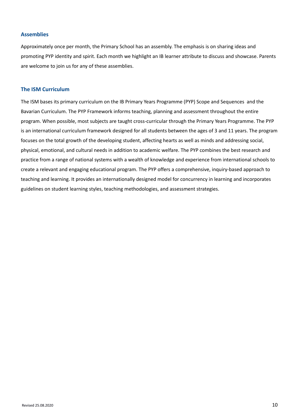## <span id="page-10-0"></span>**Assemblies**

Approximately once per month, the Primary School has an assembly. The emphasis is on sharing ideas and promoting PYP identity and spirit. Each month we highlight an IB learner attribute to discuss and showcase. Parents are welcome to join us for any of these assemblies.

## <span id="page-10-1"></span>**The ISM Curriculum**

The ISM bases its primary curriculum on the IB Primary Years Programme (PYP) Scope and Sequences and the Bavarian Curriculum. The PYP Framework informs teaching, planning and assessment throughout the entire program. When possible, most subjects are taught cross-curricular through the Primary Years Programme. The PYP is an international curriculum framework designed for all students between the ages of 3 and 11 years. The program focuses on the total growth of the developing student, affecting hearts as well as minds and addressing social, physical, emotional, and cultural needs in addition to academic welfare. The PYP combines the best research and practice from a range of national systems with a wealth of knowledge and experience from international schools to create a relevant and engaging educational program. The PYP offers a comprehensive, inquiry-based approach to teaching and learning. It provides an internationally designed model for concurrency in learning and incorporates guidelines on student learning styles, teaching methodologies, and assessment strategies.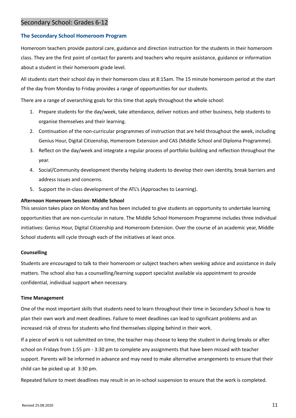## <span id="page-11-0"></span>Secondary School: Grades 6-12

## <span id="page-11-1"></span>**The Secondary School Homeroom Program**

Homeroom teachers provide pastoral care, guidance and direction instruction for the students in their homeroom class. They are the first point of contact for parents and teachers who require assistance, guidance or information about a student in their homeroom grade level.

All students start their school day in their homeroom class at 8:15am. The 15 minute homeroom period at the start of the day from Monday to Friday provides a range of opportunities for our students.

There are a range of overarching goals for this time that apply throughout the whole school:

- 1. Prepare students for the day/week, take attendance, deliver notices and other business, help students to organise themselves and their learning.
- 2. Continuation of the non-curricular programmes of instruction that are held throughout the week, including Genius Hour, Digital Citizenship, Homeroom Extension and CAS (Middle School and Diploma Programme).
- 3. Reflect on the day/week and integrate a regular process of portfolio building and reflection throughout the year.
- 4. Social/Community development thereby helping students to develop their own identity, break barriers and address issues and concerns.
- 5. Support the in-class development of the ATL's (Approaches to Learning).

## **Afternoon Homeroom Session: Middle School**

This session takes place on Monday and has been included to give students an opportunity to undertake learning opportunities that are non-curricular in nature. The Middle School Homeroom Programme includes three individual initiatives: Genius Hour, Digital Citizenship and Homeroom Extension. Over the course of an academic year, Middle School students will cycle through each of the initiatives at least once.

## <span id="page-11-2"></span>**Counselling**

Students are encouraged to talk to their homeroom or subject teachers when seeking advice and assistance in daily matters. The school also has a counselling/learning support specialist available via appointment to provide confidential, individual support when necessary.

#### <span id="page-11-3"></span>**Time Management**

One of the most important skills that students need to learn throughout their time in Secondary School is how to plan their own work and meet deadlines. Failure to meet deadlines can lead to significant problems and an increased risk of stress for students who find themselves slipping behind in their work.

If a piece of work is not submitted on time, the teacher may choose to keep the student in during breaks or after school on Fridays from 1:55 pm - 3:30 pm to complete any assignments that have been missed with teacher support. Parents will be informed in advance and may need to make alternative arrangements to ensure that their child can be picked up at 3:30 pm.

Repeated failure to meet deadlines may result in an in-school suspension to ensure that the work is completed.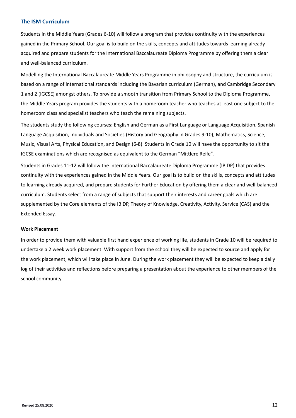#### <span id="page-12-0"></span>**The ISM Curriculum**

Students in the Middle Years (Grades 6-10) will follow a program that provides continuity with the experiences gained in the Primary School. Our goal is to build on the skills, concepts and attitudes towards learning already acquired and prepare students for the International Baccalaureate Diploma Programme by offering them a clear and well-balanced curriculum.

Modelling the International Baccalaureate Middle Years Programme in philosophy and structure, the curriculum is based on a range of international standards including the Bavarian curriculum (German), and Cambridge Secondary 1 and 2 (IGCSE) amongst others. To provide a smooth transition from Primary School to the Diploma Programme, the Middle Years program provides the students with a homeroom teacher who teaches at least one subject to the homeroom class and specialist teachers who teach the remaining subjects.

The students study the following courses: English and German as a First Language or Language Acquisition, Spanish Language Acquisition, Individuals and Societies (History and Geography in Grades 9-10), Mathematics, Science, Music, Visual Arts, Physical Education, and Design (6-8). Students in Grade 10 will have the opportunity to sit the IGCSE examinations which are recognised as equivalent to the German "Mittlere Reife".

Students in Grades 11-12 will follow the International Baccalaureate Diploma Programme (IB DP) that provides continuity with the experiences gained in the Middle Years. Our goal is to build on the skills, concepts and attitudes to learning already acquired, and prepare students for Further Education by offering them a clear and well-balanced curriculum. Students select from a range of subjects that support their interests and career goals which are supplemented by the Core elements of the IB DP, Theory of Knowledge, Creativity, Activity, Service (CAS) and the Extended Essay.

#### <span id="page-12-1"></span>**Work Placement**

In order to provide them with valuable first hand experience of working life, students in Grade 10 will be required to undertake a 2 week work placement. With support from the school they will be expected to source and apply for the work placement, which will take place in June. During the work placement they will be expected to keep a daily log of their activities and reflections before preparing a presentation about the experience to other members of the school community.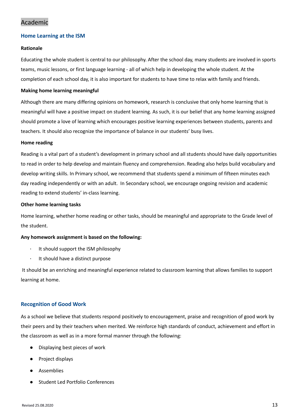# <span id="page-13-0"></span>Academic

## <span id="page-13-1"></span>**Home Learning at the ISM**

## **Rationale**

Educating the whole student is central to our philosophy. After the school day, many students are involved in sports teams, music lessons, or first language learning - all of which help in developing the whole student. At the completion of each school day, it is also important for students to have time to relax with family and friends.

#### **Making home learning meaningful**

Although there are many differing opinions on homework, research is conclusive that only home learning that is meaningful will have a positive impact on student learning. As such, it is our belief that any home learning assigned should promote a love of learning which encourages positive learning experiences between students, parents and teachers. It should also recognize the importance of balance in our students' busy lives.

#### **Home reading**

Reading is a vital part of a student's development in primary school and all students should have daily opportunities to read in order to help develop and maintain fluency and comprehension. Reading also helps build vocabulary and develop writing skills. In Primary school, we recommend that students spend a minimum of fifteen minutes each day reading independently or with an adult. In Secondary school, we encourage ongoing revision and academic reading to extend students' in-class learning.

#### **Other home learning tasks**

Home learning, whether home reading or other tasks, should be meaningful and appropriate to the Grade level of the student.

## **Any homework assignment is based on the following:**

- ∙ It should support the ISM philosophy
- ∙ It should have a distinct purpose

It should be an enriching and meaningful experience related to classroom learning that allows families to support learning at home.

## <span id="page-13-2"></span>**Recognition of Good Work**

As a school we believe that students respond positively to encouragement, praise and recognition of good work by their peers and by their teachers when merited. We reinforce high standards of conduct, achievement and effort in the classroom as well as in a more formal manner through the following:

- Displaying best pieces of work
- Project displays
- **Assemblies**
- **Student Led Portfolio Conferences**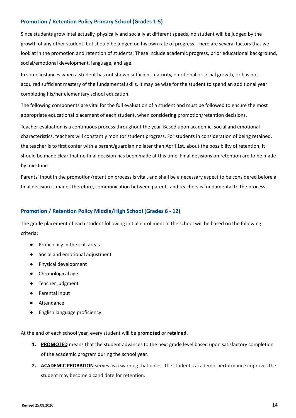## <span id="page-14-0"></span>**Promotion / Retention Policy Primary School (Grades 1-5)**

Since students grow intellectually, physically and socially at different speeds, no student will be judged by the growth of any other student, but should be judged on his own rate of progress. There are several factors that we look at in the promotion and retention of students. These include academic progress, prior educational background, social/emotional development, language, and age.

In some instances when a student has not shown sufficient maturity, emotional or social growth, or has not acquired sufficient mastery of the fundamental skills, it may be wise for the student to spend an additional year completing his/her elementary school education.

The following components are vital for the full evaluation of a student and must be followed to ensure the most appropriate educational placement of each student, when considering promotion/retention decisions.

Teacher evaluation is a continuous process throughout the year. Based upon academic, social and emotional characteristics, teachers will constantly monitor student progress. For students in consideration of being retained, the teacher is to first confer with a parent/guardian no later than April 1st, about the possibility of retention. It should be made clear that no final decision has been made at this time. Final decisions on retention are to be made by mid-June.

Parents' input in the promotion/retention process is vital, and shall be a necessary aspect to be considered before a final decision is made. Therefore, communication between parents and teachers is fundamental to the process.

## <span id="page-14-1"></span>**Promotion / Retention Policy Middle/High School (Grades 6 - 12)**

The grade placement of each student following initial enrollment in the school will be based on the following criteria:

- Proficiency in the skill areas
- Social and emotional adjustment
- Physical development
- Chronological age
- Teacher judgment
- Parental input
- Attendance
- English language proficiency

At the end of each school year, every student will be **promoted** or **retained.**

- **1. PROMOTED** means that the student advances to the next grade level based upon satisfactory completion of the academic program during the school year.
- **2. ACADEMIC PROBATION** serves as a warning that unless the student's academic performance improves the student may become a candidate for retention.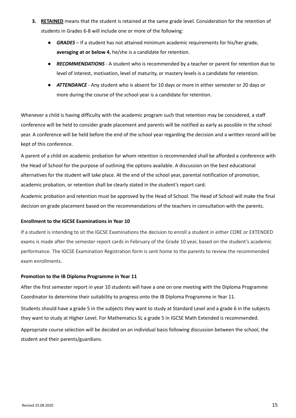- **3. RETAINED** means that the student is retained at the same grade level. Consideration for the retention of students in Grades 6-8 will include one or more of the following:
	- *GRADES* If a student has not attained minimum academic requirements for his/her grade, **averaging at or below 4**, he/she is a candidate for retention.
	- *RECOMMENDATIONS* A student who is recommended by a teacher or parent for retention due to level of interest, motivation, level of maturity, or mastery levels is a candidate for retention.
	- **ATTENDANCE** Any student who is absent for 10 days or more in either semester or 20 days or more during the course of the school year is a candidate for retention.

Whenever a child is having difficulty with the academic program such that retention may be considered, a staff conference will be held to consider grade placement and parents will be notified as early as possible in the school year. A conference will be held before the end of the school year regarding the decision and a written record will be kept of this conference.

A parent of a child on academic probation for whom retention is recommended shall be afforded a conference with the Head of School for the purpose of outlining the options available. A discussion on the best educational alternatives for the student will take place. At the end of the school year, parental notification of promotion, academic probation, or retention shall be clearly stated in the student's report card.

Academic probation and retention must be approved by the Head of School. The Head of School will make the final decision on grade placement based on the recommendations of the teachers in consultation with the parents.

## <span id="page-15-0"></span>**Enrollment to the IGCSE Examinations in Year 10**

If a student is intending to sit the IGCSE Examinations the decision to enroll a student in either CORE or EXTENDED exams is made after the semester report cards in February of the Grade 10 year, based on the student's academic performance. The IGCSE Examination Registration form is sent home to the parents to review the recommended exam enrollments.

## <span id="page-15-1"></span>**Promotion to the IB Diploma Programme in Year 11**

After the first semester report in year 10 students will have a one on one meeting with the Diploma Programme Coordinator to determine their suitability to progress onto the IB Diploma Programme in Year 11.

Students should have a grade 5 in the subjects they want to study at Standard Level and a grade 6 in the subjects they want to study at Higher Level. For Mathematics SL a grade 5 in IGCSE Math Extended is recommended.

Appropriate course selection will be decided on an individual basis following discussion between the school, the student and their parents/guardians.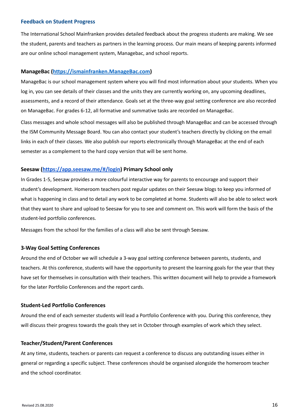#### <span id="page-16-0"></span>**Feedback on Student Progress**

The International School Mainfranken provides detailed feedback about the progress students are making. We see the student, parents and teachers as partners in the learning process. Our main means of keeping parents informed are our online school management system, Managebac, and school reports.

## <span id="page-16-1"></span>**ManageBac [\(https://ismainfranken.ManageBac.com](https://ismainfranken.managebac.com))**

ManageBac is our school management system where you will find most information about your students. When you log in, you can see details of their classes and the units they are currently working on, any upcoming deadlines, assessments, and a record of their attendance. Goals set at the three-way goal setting conference are also recorded on ManageBac. For grades 6-12, all formative and summative tasks are recorded on ManageBac.

Class messages and whole school messages will also be published through ManageBac and can be accessed through the ISM Community Message Board. You can also contact your student's teachers directly by clicking on the email links in each of their classes. We also publish our reports electronically through ManageBac at the end of each semester as a complement to the hard copy version that will be sent home.

## <span id="page-16-2"></span>**Seesaw (<https://app.seesaw.me/#/login>) Primary School only**

In Grades 1-5, Seesaw provides a more colourful interactive way for parents to encourage and support their student's development. Homeroom teachers post regular updates on their Seesaw blogs to keep you informed of what is happening in class and to detail any work to be completed at home. Students will also be able to select work that they want to share and upload to Seesaw for you to see and comment on. This work will form the basis of the student-led portfolio conferences.

Messages from the school for the families of a class will also be sent through Seesaw.

## <span id="page-16-3"></span>**3-Way Goal Setting Conferences**

Around the end of October we will schedule a 3-way goal setting conference between parents, students, and teachers. At this conference, students will have the opportunity to present the learning goals for the year that they have set for themselves in consultation with their teachers. This written document will help to provide a framework for the later Portfolio Conferences and the report cards.

## <span id="page-16-4"></span>**Student-Led Portfolio Conferences**

Around the end of each semester students will lead a Portfolio Conference with you. During this conference, they will discuss their progress towards the goals they set in October through examples of work which they select.

## <span id="page-16-5"></span>**Teacher/Student/Parent Conferences**

At any time, students, teachers or parents can request a conference to discuss any outstanding issues either in general or regarding a specific subject. These conferences should be organised alongside the homeroom teacher and the school coordinator.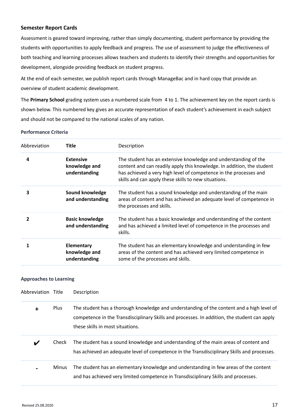## <span id="page-17-0"></span>**Semester Report Cards**

Assessment is geared toward improving, rather than simply documenting, student performance by providing the students with opportunities to apply feedback and progress. The use of assessment to judge the effectiveness of both teaching and learning processes allows teachers and students to identify their strengths and opportunities for development, alongside providing feedback on student progress.

At the end of each semester, we publish report cards through ManageBac and in hard copy that provide an overview of student academic development.

The **Primary School** grading system uses a numbered scale from 4 to 1. The achievement key on the report cards is shown below. This numbered key gives an accurate representation of each student's achievement in each subject and should not be compared to the national scales of any nation.

**Performance Criteria**

| Abbreviation | <b>Title</b>                                        | Description                                                                                                                                                                                                                                                            |
|--------------|-----------------------------------------------------|------------------------------------------------------------------------------------------------------------------------------------------------------------------------------------------------------------------------------------------------------------------------|
| 4            | <b>Extensive</b><br>knowledge and<br>understanding  | The student has an extensive knowledge and understanding of the<br>content and can readily apply this knowledge. In addition, the student<br>has achieved a very high level of competence in the processes and<br>skills and can apply these skills to new situations. |
| 3            | Sound knowledge<br>and understanding                | The student has a sound knowledge and understanding of the main<br>areas of content and has achieved an adequate level of competence in<br>the processes and skills.                                                                                                   |
|              | <b>Basic knowledge</b><br>and understanding         | The student has a basic knowledge and understanding of the content<br>and has achieved a limited level of competence in the processes and<br>skills.                                                                                                                   |
|              | <b>Elementary</b><br>knowledge and<br>understanding | The student has an elementary knowledge and understanding in few<br>areas of the content and has achieved very limited competence in<br>some of the processes and skills.                                                                                              |

#### **Approaches to Learning**

| Abbreviation Title |              | Description                                                                                                                                                                                                                   |
|--------------------|--------------|-------------------------------------------------------------------------------------------------------------------------------------------------------------------------------------------------------------------------------|
| $\ddot{}$          | Plus         | The student has a thorough knowledge and understanding of the content and a high level of<br>competence in the Transdisciplinary Skills and processes. In addition, the student can apply<br>these skills in most situations. |
| V                  | Check        | The student has a sound knowledge and understanding of the main areas of content and<br>has achieved an adequate level of competence in the Transdisciplinary Skills and processes.                                           |
|                    | <b>Minus</b> | The student has an elementary knowledge and understanding in few areas of the content<br>and has achieved very limited competence in Transdisciplinary Skills and processes.                                                  |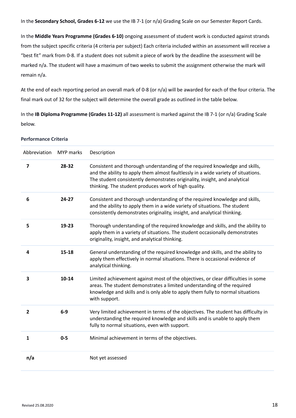In the **Secondary School, Grades 6-12** we use the IB 7-1 (or n/a) Grading Scale on our Semester Report Cards.

In the **Middle Years Programme (Grades 6-10)** ongoing assessment of student work is conducted against strands from the subject specific criteria (4 criteria per subject) Each criteria included within an assessment will receive a "best fit" mark from 0-8. If a student does not submit a piece of work by the deadline the assessment will be marked n/a. The student will have a maximum of two weeks to submit the assignment otherwise the mark will remain n/a.

At the end of each reporting period an overall mark of 0-8 (or n/a) will be awarded for each of the four criteria. The final mark out of 32 for the subject will determine the overall grade as outlined in the table below.

In the **IB Diploma Programme (Grades 11-12)** all assessment is marked against the IB 7-1 (or n/a) Grading Scale below.

#### **Performance Criteria**

| Abbreviation            | MYP marks | Description                                                                                                                                                                                                                                                                                            |
|-------------------------|-----------|--------------------------------------------------------------------------------------------------------------------------------------------------------------------------------------------------------------------------------------------------------------------------------------------------------|
| $\overline{\mathbf{z}}$ | 28-32     | Consistent and thorough understanding of the required knowledge and skills,<br>and the ability to apply them almost faultlessly in a wide variety of situations.<br>The student consistently demonstrates originality, insight, and analytical<br>thinking. The student produces work of high quality. |
| 6                       | $24 - 27$ | Consistent and thorough understanding of the required knowledge and skills,<br>and the ability to apply them in a wide variety of situations. The student<br>consistently demonstrates originality, insight, and analytical thinking.                                                                  |
| 5                       | $19 - 23$ | Thorough understanding of the required knowledge and skills, and the ability to<br>apply them in a variety of situations. The student occasionally demonstrates<br>originality, insight, and analytical thinking.                                                                                      |
| 4                       | $15 - 18$ | General understanding of the required knowledge and skills, and the ability to<br>apply them effectively in normal situations. There is occasional evidence of<br>analytical thinking.                                                                                                                 |
| 3                       | $10 - 14$ | Limited achievement against most of the objectives, or clear difficulties in some<br>areas. The student demonstrates a limited understanding of the required<br>knowledge and skills and is only able to apply them fully to normal situations<br>with support.                                        |
| $\overline{2}$          | $6-9$     | Very limited achievement in terms of the objectives. The student has difficulty in<br>understanding the required knowledge and skills and is unable to apply them<br>fully to normal situations, even with support.                                                                                    |
| $\mathbf{1}$            | $0 - 5$   | Minimal achievement in terms of the objectives.                                                                                                                                                                                                                                                        |
| n/a                     |           | Not yet assessed                                                                                                                                                                                                                                                                                       |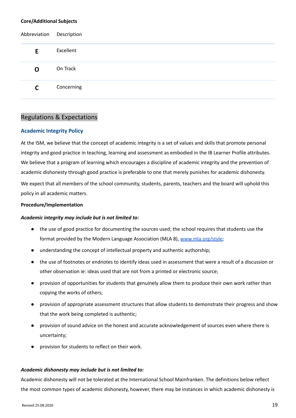#### **Core/Additional Subjects**

| Abbreviation | Description |
|--------------|-------------|
| E.           | Excellent   |
| O            | On Track    |
| C            | Concerning  |

## <span id="page-19-0"></span>Regulations & Expectations

## <span id="page-19-1"></span>**Academic Integrity Policy**

At the ISM, we believe that the concept of academic integrity is a set of values and skills that promote personal integrity and good practice in teaching, learning and assessment as embodied in the IB Learner Profile attributes. We believe that a program of learning which encourages a discipline of academic integrity and the prevention of academic dishonesty through good practice is preferable to one that merely punishes for academic dishonesty.

We expect that all members of the school community, students, parents, teachers and the board will uphold this policy in all academic matters.

#### **Procedure/Implementation**

## *Academic integrity may include but is not limited to:*

- the use of good practice for documenting the sources used; the school requires that students use the format provided by the Modern Language Association (MLA 8), [www.mla.org/style;](http://www.mla.org/style)
- understanding the concept of intellectual property and authentic authorship;
- the use of footnotes or endnotes to identify ideas used in assessment that were a result of a discussion or other observation ie: ideas used that are not from a printed or electronic source;
- provision of opportunities for students that genuinely allow them to produce their own work rather than copying the works of others;
- provision of appropriate assessment structures that allow students to demonstrate their progress and show that the work being completed is authentic;
- provision of sound advice on the honest and accurate acknowledgement of sources even where there is uncertainty;
- provision for students to reflect on their work.

## *Academic dishonesty may include but is not limited to:*

Academic dishonesty will not be tolerated at the International School Mainfranken. The definitions below reflect the most common types of academic dishonesty, however, there may be instances in which academic dishonesty is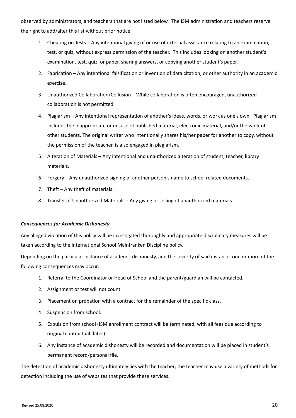observed by administrators, and teachers that are not listed below. The ISM administration and teachers reserve the right to add/alter this list without prior notice.

- 1. Cheating on Tests Any intentional giving of or use of external assistance relating to an examination, test, or quiz, without express permission of the teacher. This includes looking on another student's examination, test, quiz, or paper, sharing answers, or copying another student's paper.
- 2. Fabrication Any intentional falsification or invention of data citation, or other authority in an academic exercise.
- 3. Unauthorized Collaboration/Collusion While collaboration is often encouraged, unauthorized collaboration is not permitted.
- 4. Plagiarism Any intentional representation of another's ideas, words, or work as one's own. Plagiarism includes the inappropriate or misuse of published material, electronic material, and/or the work of other students. The original writer who intentionally shares his/her paper for another to copy, without the permission of the teacher, is also engaged in plagiarism.
- 5. Alteration of Materials Any intentional and unauthorized alteration of student, teacher, library materials.
- 6. Forgery Any unauthorized signing of another person's name to school related documents.
- 7. Theft Any theft of materials.
- 8. Transfer of Unauthorized Materials Any giving or selling of unauthorized materials.

## *Consequences for Academic Dishonesty*

Any alleged violation of this policy will be investigated thoroughly and appropriate disciplinary measures will be taken according to the International School Mainfranken Discipline policy.

Depending on the particular instance of academic dishonesty, and the severity of said instance, one or more of the following consequences may occur:

- 1. Referral to the Coordinator or Head of School and the parent/guardian will be contacted.
- 2. Assignment or test will not count.
- 3. Placement on probation with a contract for the remainder of the specific class.
- 4. Suspension from school.
- 5. Expulsion from school (ISM enrollment contract will be terminated, with all fees due according to original contractual dates).
- 6. Any instance of academic dishonesty will be recorded and documentation will be placed in student's permanent record/personal file.

The detection of academic dishonesty ultimately lies with the teacher; the teacher may use a variety of methods for detection including the use of websites that provide these services.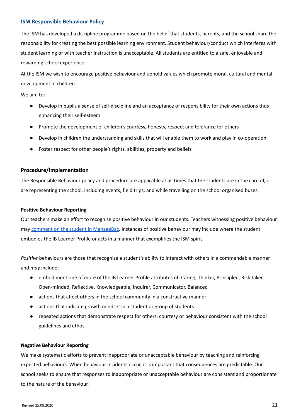#### <span id="page-21-0"></span>**ISM Responsible Behaviour Policy**

The ISM has developed a discipline programme based on the belief that students, parents, and the school share the responsibility for creating the best possible learning environment. Student behaviour/conduct which interferes with student learning or with teacher instruction is unacceptable. All students are entitled to a safe, enjoyable and rewarding school experience.

At the ISM we wish to encourage positive behaviour and uphold values which promote moral, cultural and mental development in children.

We aim to:

- Develop in pupils a sense of self-discipline and an acceptance of responsibility for their own actions thus enhancing their self-esteem
- Promote the development of children's courtesy, honesty, respect and tolerance for others
- Develop in children the understanding and skills that will enable them to work and play in co-operation
- Foster respect for other people's rights, abilities, property and beliefs

## **Procedure/Implementation**

The Responsible Behaviour policy and procedure are applicable at all times that the students are in the care of, or are representing the school, including events, field trips, and while travelling on the school organised buses.

#### **Positive Behaviour Reporting**

Our teachers make an effort to recognise positive behaviour in our students. Teachers witnessing positive behaviour may comment on the student in [ManageBac.](https://docs.google.com/document/d/1h4xiekCncE-hwBO0PuREcLOOSOZZ7TOjYaNYvdaEWio/edit?usp=sharing) Instances of positive behaviour may include where the student embodies the IB Learner Profile or acts in a manner that exemplifies the ISM spirit.

*Positive* behaviours are those that recognise a student's ability to interact with others in a commendable manner and *may* include:

- embodiment one of more of the IB Learner Profile attributes of: Caring, Thinker, Principled, Risk-taker, Open-minded, Reflective, Knowledgeable, Inquirer, Communicator, Balanced
- actions that affect others in the school community in a constructive manner
- actions that indicate growth mindset in a student or group of students
- repeated actions that demonstrate respect for others, courtesy or behaviour consistent with the school guidelines and ethos

#### **Negative Behaviour Reporting**

We make systematic efforts to prevent inappropriate or unacceptable behaviour by teaching and reinforcing expected behaviours. When behaviour incidents occur, it is important that consequences are predictable. Our school seeks to ensure that responses to inappropriate or unacceptable behaviour are consistent and proportionate to the nature of the behaviour.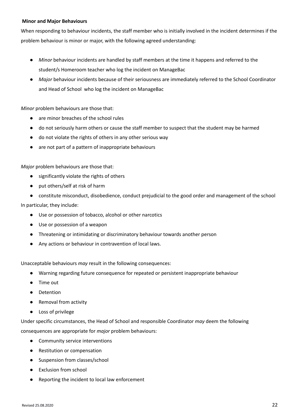## **Minor and Major Behaviours**

When responding to behaviour incidents, the staff member who is initially involved in the incident determines if the problem behaviour is minor or major, with the following agreed understanding:

- *Minor* behaviour incidents are handled by staff members at the time it happens and referred to the student/s Homeroom teacher who log the incident on ManageBac
- *Major* behaviour incidents because of their seriousness are immediately referred to the School Coordinator and Head of School who log the incident on ManageBac

*Minor* problem behaviours are those that:

- are minor breaches of the school rules
- do not seriously harm others or cause the staff member to suspect that the student may be harmed
- do not violate the rights of others in any other serious way
- are not part of a pattern of inappropriate behaviours

*Major* problem behaviours are those that:

- significantly violate the rights of others
- put others/self at risk of harm
- constitute misconduct, disobedience, conduct prejudicial to the good order and management of the school

In particular, they include:

- Use or possession of tobacco, alcohol or other narcotics
- Use or possession of a weapon
- Threatening or intimidating or discriminatory behaviour towards another person
- Any actions or behaviour in contravention of local laws.

Unacceptable behaviours *may* result in the following consequences:

- Warning regarding future consequence for repeated or persistent inappropriate behaviour
- Time out
- Detention
- Removal from activity
- Loss of privilege

Under specific circumstances, the Head of School and responsible Coordinator *may* deem the following consequences are appropriate for *major* problem behaviours:

- Community service interventions
- Restitution or compensation
- Suspension from classes/school
- **Exclusion from school**
- Reporting the incident to local law enforcement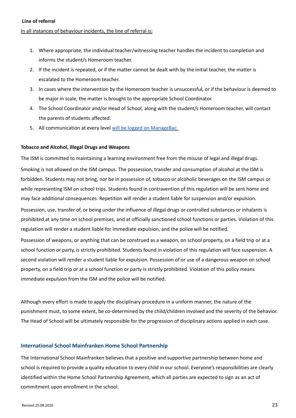## In all instances of behaviour incidents, the line of referral is:

- 1. Where appropriate, the individual teacher/witnessing teacher handles the incident to completion and informs the student/s Homeroom teacher.
- 2. If the incident is repeated, or if the matter cannot be dealt with by the initial teacher, the matter is escalated to the Homeroom teacher.
- 3. In cases where the intervention by the Homeroom teacher is unsuccessful, or if the behaviour is deemed to be major in scale, the matter is brought to the appropriate School Coordinator.
- 4. The School Coordinator and/or Head of School, along with the student/s Homeroom teacher, will contact the parents of students affected.
- 5. All communication at every level will be logged on [ManageBac.](https://docs.google.com/document/d/1h4xiekCncE-hwBO0PuREcLOOSOZZ7TOjYaNYvdaEWio/edit?usp=sharing)

## **Tobacco and Alcohol, Illegal Drugs and Weapons**

The ISM is committed to maintaining a learning environment free from the misuse of legal and illegal drugs. Smoking is not allowed on the ISM campus. The possession, transfer and consumption of alcohol at the ISM is forbidden. Students may not bring, nor be in possession of, tobacco or alcoholic beverages on the ISM campus or while representing ISM on school trips. Students found in contravention of this regulation will be sent home and may face additional consequences. Repetition will render a student liable for suspension and/or expulsion.

Possession, use, transfer of, or being under the influence of illegal drugs or controlled substances or inhalants is prohibited at any time on school premises, and at officially sanctioned school functions or parties. Violation of this regulation will render a student liable for immediate expulsion, and the police will be notified.

Possession of weapons, or anything that can be construed as a weapon, on school property, on a field trip or at a school function or party, is strictly prohibited. Students found in violation of this regulation will face suspension. A second violation will render a student liable for expulsion. Possession of or use of a dangerous weapon on school property, on a field trip or at a school function or party is strictly prohibited. Violation of this policy means immediate expulsion from the ISM and the police will be notified.

Although every effort is made to apply the disciplinary procedure in a uniform manner, the nature of the punishment must, to some extent, be co-determined by the child/children involved and the severity of the behavior. The Head of School will be ultimately responsible for the progression of disciplinary actions applied in each case.

## <span id="page-23-0"></span>**International School Mainfranken Home School Partnership**

The International School Mainfranken believes that a positive and supportive partnership between home and school is required to provide a quality education to every child in our school. Everyone's responsibilities are clearly identified within the Home School Partnership Agreement, which all parties are expected to sign as an act of commitment upon enrollment in the school.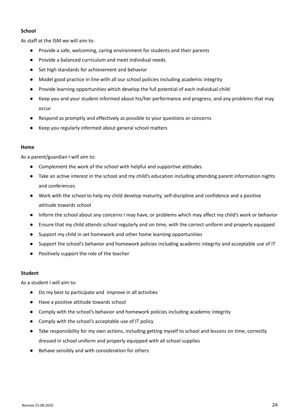## **School**

As staff at the ISM we will aim to:

- Provide a safe, welcoming, caring environment for students and their parents
- Provide a balanced curriculum and meet individual needs
- Set high standards for achievement and behavior
- Model good practice in line with all our school policies including academic integrity
- Provide learning opportunities which develop the full potential of each individual child
- Keep you and your student informed about his/her performance and progress, and any problems that may occur
- Respond as promptly and effectively as possible to your questions or concerns
- Keep you regularly informed about general school matters

## **Home**

As a parent/guardian I will aim to:

- Complement the work of the school with helpful and supportive attitudes
- Take an active interest in the school and my child's education including attending parent information nights and conferences
- Work with the school to help my child develop maturity, self-discipline and confidence and a positive attitude towards school
- Inform the school about any concerns I may have, or problems which may affect my child's work or behavior
- Ensure that my child attends school regularly and on time, with the correct uniform and properly equipped
- Support my child in set homework and other home learning opportunities
- Support the school's behavior and homework policies including academic integrity and acceptable use of IT
- Positively support the role of the teacher

## **Student**

As a student I will aim to:

- Do my best to participate and improve in all activities
- Have a positive attitude towards school
- Comply with the school's behavior and homework policies including academic integrity
- Comply with the school's acceptable use of IT policy
- Take responsibility for my own actions, including getting myself to school and lessons on time, correctly dressed in school uniform and properly equipped with all school supplies
- Behave sensibly and with consideration for others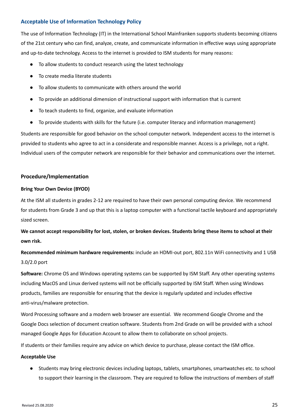## <span id="page-25-0"></span>**Acceptable Use of Information Technology Policy**

The use of Information Technology (IT) in the International School Mainfranken supports students becoming citizens of the 21st century who can find, analyze, create, and communicate information in effective ways using appropriate and up-to-date technology. Access to the internet is provided to ISM students for many reasons:

- To allow students to conduct research using the latest technology
- To create media literate students
- To allow students to communicate with others around the world
- To provide an additional dimension of instructional support with information that is current
- To teach students to find, organize, and evaluate information
- To provide students with skills for the future (i.e. computer literacy and information management)

Students are responsible for good behavior on the school computer network. Independent access to the internet is provided to students who agree to act in a considerate and responsible manner. Access is a privilege, not a right. Individual users of the computer network are responsible for their behavior and communications over the internet.

## **Procedure/Implementation**

## **Bring Your Own Device (BYOD)**

At the ISM all students in grades 2-12 are required to have their own personal computing device. We recommend for students from Grade 3 and up that this is a laptop computer with a functional tactile keyboard and appropriately sized screen.

We cannot accept responsibility for lost, stolen, or broken devices. Students bring these items to school at their **own risk.**

**Recommended minimum hardware requirements:** include an HDMI-out port, 802.11n WiFi connectivity and 1 USB 3.0/2.0 port

**Software:** Chrome OS and Windows operating systems can be supported by ISM Staff. Any other operating systems including MacOS and Linux derived systems will not be officially supported by ISM Staff. When using Windows products, families are responsible for ensuring that the device is regularly updated and includes effective anti-virus/malware protection.

Word Processing software and a modern web browser are essential. We recommend Google Chrome and the Google Docs selection of document creation software. Students from 2nd Grade on will be provided with a school managed Google Apps for Education Account to allow them to collaborate on school projects.

If students or their families require any advice on which device to purchase, please contact the ISM office.

## **Acceptable Use**

● Students may bring electronic devices including laptops, tablets, smartphones, smartwatches etc. to school to support their learning in the classroom. They are required to follow the instructions of members of staff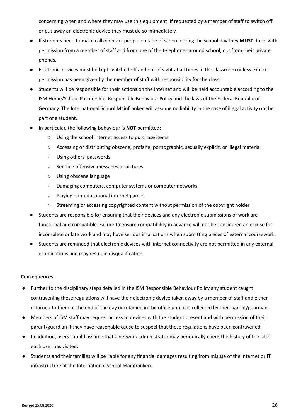concerning when and where they may use this equipment. If requested by a member of staff to switch off or put away an electronic device they must do so immediately.

- If students need to make calls/contact people outside of school during the school day they **MUST** do so with permission from a member of staff and from one of the telephones around school, not from their private phones.
- Electronic devices must be kept switched off and out of sight at all times in the classroom unless explicit permission has been given by the member of staff with responsibility for the class.
- Students will be responsible for their actions on the internet and will be held accountable according to the ISM Home/School Partnership, Responsible Behaviour Policy and the laws of the Federal Republic of Germany. The International School Mainfranken will assume no liability in the case of illegal activity on the part of a student.
- In particular, the following behaviour is **NOT** permitted:
	- Using the school internet access to purchase items
	- Accessing or distributing obscene, profane, pornographic, sexually explicit, or illegal material
	- Using others' passwords
	- Sending offensive messages or pictures
	- Using obscene language
	- Damaging computers, computer systems or computer networks
	- Playing non-educational internet games
	- Streaming or accessing copyrighted content without permission of the copyright holder
- Students are responsible for ensuring that their devices and any electronic submissions of work are functional and compatible. Failure to ensure compatibility in advance will not be considered an excuse for incomplete or late work and may have serious implications when submitting pieces of external coursework.
- Students are reminded that electronic devices with internet connectivity are not permitted in any external examinations and may result in disqualification.

## **Consequences**

- Further to the disciplinary steps detailed in the ISM Responsible Behaviour Policy any student caught contravening these regulations will have their electronic device taken away by a member of staff and either returned to them at the end of the day or retained in the office until it is collected by their parent/guardian.
- Members of ISM staff may request access to devices with the student present and with permission of their parent/guardian if they have reasonable cause to suspect that these regulations have been contravened.
- In addition, users should assume that a network administrator may periodically check the history of the sites each user has visited.
- Students and their families will be liable for any financial damages resulting from misuse of the internet or IT infrastructure at the International School Mainfranken.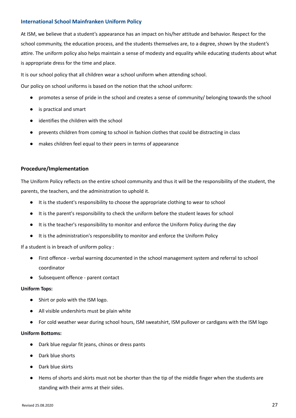## <span id="page-27-0"></span>**International School Mainfranken Uniform Policy**

At ISM, we believe that a student's appearance has an impact on his/her attitude and behavior. Respect for the school community, the education process, and the students themselves are, to a degree, shown by the student's attire. The uniform policy also helps maintain a sense of modesty and equality while educating students about what is appropriate dress for the time and place.

It is our school policy that all children wear a school uniform when attending school.

Our policy on school uniforms is based on the notion that the school uniform:

- promotes a sense of pride in the school and creates a sense of community/ belonging towards the school
- is practical and smart
- identifies the children with the school
- prevents children from coming to school in fashion clothes that could be distracting in class
- makes children feel equal to their peers in terms of appearance

## **Procedure/Implementation**

The Uniform Policy reflects on the entire school community and thus it will be the responsibility of the student, the parents, the teachers, and the administration to uphold it.

- It is the student's responsibility to choose the appropriate clothing to wear to school
- It is the parent's responsibility to check the uniform before the student leaves for school
- It is the teacher's responsibility to monitor and enforce the Uniform Policy during the day
- It is the administration's responsibility to monitor and enforce the Uniform Policy

If a student is in breach of uniform policy :

- First offence verbal warning documented in the school management system and referral to school coordinator
- Subsequent offence parent contact

## **Uniform Tops:**

- Shirt or polo with the ISM logo.
- All visible undershirts must be plain white
- For cold weather wear during school hours, ISM sweatshirt, ISM pullover or cardigans with the ISM logo

## **Uniform Bottoms:**

- Dark blue regular fit jeans, chinos or dress pants
- Dark blue shorts
- Dark blue skirts
- Hems of shorts and skirts must not be shorter than the tip of the middle finger when the students are standing with their arms at their sides.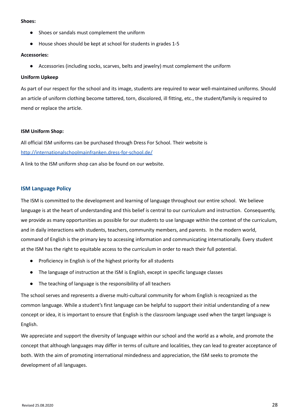#### **Shoes:**

- Shoes or sandals must complement the uniform
- House shoes should be kept at school for students in grades 1-5

#### **Accessories:**

● Accessories (including socks, scarves, belts and jewelry) must complement the uniform

## **Uniform Upkeep**

As part of our respect for the school and its image, students are required to wear well-maintained uniforms. Should an article of uniform clothing become tattered, torn, discolored, ill fitting, etc., the student/family is required to mend or replace the article.

## **ISM Uniform Shop:**

All official ISM uniforms can be purchased through Dress For School. Their website is <http://internationalschoolmainfranken.dress-for-school.de/>

A link to the ISM uniform shop can also be found on our website.

## <span id="page-28-0"></span>**ISM Language Policy**

The ISM is committed to the development and learning of language throughout our entire school. We believe language is at the heart of understanding and this belief is central to our curriculum and instruction. Consequently, we provide as many opportunities as possible for our students to use language within the context of the curriculum, and in daily interactions with students, teachers, community members, and parents. In the modern world, command of English is the primary key to accessing information and communicating internationally. Every student at the ISM has the right to equitable access to the curriculum in order to reach their full potential.

- Proficiency in English is of the highest priority for all students
- The language of instruction at the ISM is English, except in specific language classes
- The teaching of language is the responsibility of all teachers

The school serves and represents a diverse multi-cultural community for whom English is recognized as the common language. While a student's first language can be helpful to support their initial understanding of a new concept or idea, it is important to ensure that English is the classroom language used when the target language is English.

We appreciate and support the diversity of language within our school and the world as a whole, and promote the concept that although languages may differ in terms of culture and localities, they can lead to greater acceptance of both. With the aim of promoting international mindedness and appreciation, the ISM seeks to promote the development of all languages.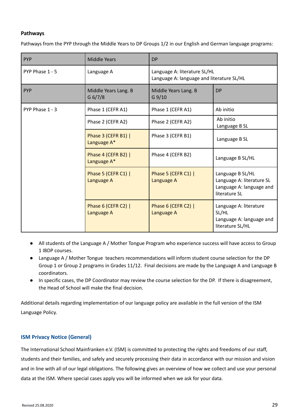## <span id="page-29-0"></span>**Pathways**

Pathways from the PYP through the Middle Years to DP Groups 1/2 in our English and German language programs:

| PYP             | <b>Middle Years</b>                                                 | <b>DP</b>                                                                 |                                                                                            |
|-----------------|---------------------------------------------------------------------|---------------------------------------------------------------------------|--------------------------------------------------------------------------------------------|
| PYP Phase 1 - 5 | Language A                                                          | Language A: literature SL/HL<br>Language A: language and literature SL/HL |                                                                                            |
| <b>PYP</b>      | Middle Years Lang. B<br>Middle Years Lang. B<br>G 6/7/8<br>$G$ 9/10 |                                                                           | <b>DP</b>                                                                                  |
| PYP Phase 1 - 3 | Phase 1 (CEFR A1)                                                   | Phase 1 (CEFR A1)                                                         | Ab initio                                                                                  |
|                 | Phase 2 (CEFR A2)                                                   | Phase 2 (CEFR A2)                                                         | Ab initio<br>Language B SL                                                                 |
|                 | Phase 3 (CEFR B1)  <br>Language A*                                  | Phase 3 (CEFR B1)                                                         | Language B SL                                                                              |
|                 | Phase 4 (CEFR B2)  <br>Language A*                                  | Phase 4 (CEFR B2)                                                         | Language B SL/HL                                                                           |
|                 | Phase 5 (CEFR C1)  <br>Language A                                   | Phase 5 (CEFR C1)  <br>Language A                                         | Language B SL/HL<br>Language A: literature SL<br>Language A: language and<br>literature SL |
|                 | Phase 6 (CEFR C2)  <br>Language A                                   | Phase 6 (CEFR C2)  <br>Language A                                         | Language A: literature<br>SL/HL<br>Language A: language and<br>literature SL/HL            |

- All students of the Language A / Mother Tongue Program who experience success will have access to Group 1 IBDP courses.
- Language A / Mother Tongue teachers recommendations will inform student course selection for the DP Group 1 or Group 2 programs in Grades 11/12. Final decisions are made by the Language A and Language B coordinators.
- In specific cases, the DP Coordinator may review the course selection for the DP. If there is disagreement, the Head of School will make the final decision.

Additional details regarding implementation of our language policy are available in the full version of the ISM Language Policy.

## <span id="page-29-1"></span>**ISM Privacy Notice (General)**

The International School Mainfranken e.V. (ISM) is committed to protecting the rights and freedoms of our staff, students and their families, and safely and securely processing their data in accordance with our mission and vision and in line with all of our legal obligations. The following gives an overview of how we collect and use your personal data at the ISM. Where special cases apply you will be informed when we ask for your data.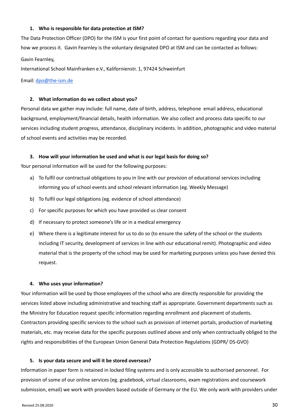#### **1. Who is responsible for data protection at ISM?**

The Data Protection Officer (DPO) for the ISM is your first point of contact for questions regarding your data and how we process it. Gavin Fearnley is the voluntary designated DPO at ISM and can be contacted as follows: Gavin Fearnley,

International School Mainfranken e.V., Kalifornienstr. 1, 97424 Schweinfurt

Email: [dpo@the-ism.de](mailto:dpo@the-ism.de)

#### **2. What information do we collect about you?**

Personal data we gather may include: full name, date of birth, address, telephone email address, educational background, employment/financial details, health information. We also collect and process data specific to our services including student progress, attendance, disciplinary incidents. In addition, photographic and video material of school events and activities may be recorded.

#### **3. How will your information be used and what is our legal basis for doing so?**

Your personal information will be used for the following purposes:

- a) To fulfil our contractual obligations to you in line with our provision of educational services including informing you of school events and school relevant information (eg. Weekly Message)
- b) To fulfil our legal obligations (eg. evidence of school attendance)
- c) For specific purposes for which you have provided us clear consent
- d) If necessary to protect someone's life or in a medical emergency
- e) Where there is a legitimate interest for us to do so (to ensure the safety of the school or the students including IT security, development of services in line with our educational remit). Photographic and video material that is the property of the school may be used for marketing purposes unless you have denied this request.

#### **4. Who uses your information?**

Your information will be used by those employees of the school who are directly responsible for providing the services listed above including administrative and teaching staff as appropriate. Government departments such as the Ministry for Education request specific information regarding enrollment and placement of students. Contractors providing specific services to the school such as provision of internet portals, production of marketing materials, etc. may receive data for the specific purposes outlined above and only when contractually obliged to the rights and responsibilities of the European Union General Data Protection Regulations (GDPR/ DS-GVO)

#### **5. Is your data secure and will it be stored overseas?**

Information in paper form is retained in locked filing systems and is only accessible to authorised personnel. For provision of some of our online services (eg. gradebook, virtual classrooms, exam registrations and coursework submission, email) we work with providers based outside of Germany or the EU. We only work with providers under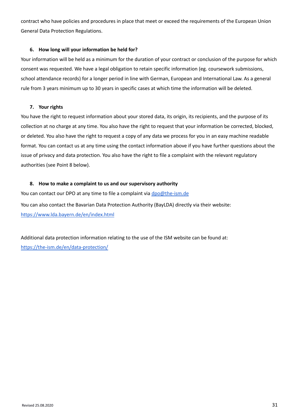contract who have policies and procedures in place that meet or exceed the requirements of the European Union General Data Protection Regulations.

## **6. How long will your information be held for?**

Your information will be held as a minimum for the duration of your contract or conclusion of the purpose for which consent was requested. We have a legal obligation to retain specific information (eg. coursework submissions, school attendance records) for a longer period in line with German, European and International Law. As a general rule from 3 years minimum up to 30 years in specific cases at which time the information will be deleted.

## **7. Your rights**

You have the right to request information about your stored data, its origin, its recipients, and the purpose of its collection at no charge at any time. You also have the right to request that your information be corrected, blocked, or deleted. You also have the right to request a copy of any data we process for you in an easy machine readable format. You can contact us at any time using the contact information above if you have further questions about the issue of privacy and data protection. You also have the right to file a complaint with the relevant regulatory authorities (see Point 8 below).

## **8. How to make a complaint to us and our supervisory authority**

You can contact our DPO at any time to file a complaint via [dpo@the-ism.de](mailto:dpo@the-ism.de) You can also contact the Bavarian Data Protection Authority (BayLDA) directly via their website: <https://www.lda.bayern.de/en/index.html>

Additional data protection information relating to the use of the ISM website can be found at: <https://the-ism.de/en/data-protection/>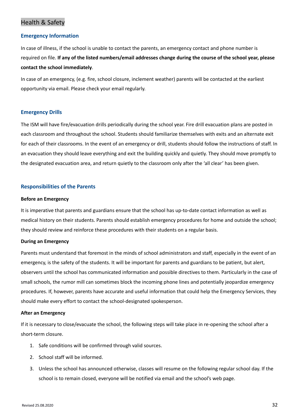# <span id="page-32-0"></span>Health & Safety

## <span id="page-32-1"></span>**Emergency Information**

In case of illness, if the school is unable to contact the parents, an emergency contact and phone number is required on file. If any of the listed numbers/email addresses change during the course of the school year, please **contact the school immediately**.

In case of an emergency, (e.g. fire, school closure, inclement weather) parents will be contacted at the earliest opportunity via email. Please check your email regularly.

## <span id="page-32-2"></span>**Emergency Drills**

The ISM will have fire/evacuation drills periodically during the school year. Fire drill evacuation plans are posted in each classroom and throughout the school. Students should familiarize themselves with exits and an alternate exit for each of their classrooms. In the event of an emergency or drill, students should follow the instructions of staff. In an evacuation they should leave everything and exit the building quickly and quietly. They should move promptly to the designated evacuation area, and return quietly to the classroom only after the 'all clear' has been given.

## <span id="page-32-3"></span>**Responsibilities of the Parents**

#### **Before an Emergency**

It is imperative that parents and guardians ensure that the school has up-to-date contact information as well as medical history on their students. Parents should establish emergency procedures for home and outside the school; they should review and reinforce these procedures with their students on a regular basis.

## **During an Emergency**

Parents must understand that foremost in the minds of school administrators and staff, especially in the event of an emergency, is the safety of the students. It will be important for parents and guardians to be patient, but alert, observers until the school has communicated information and possible directives to them. Particularly in the case of small schools, the rumor mill can sometimes block the incoming phone lines and potentially jeopardize emergency procedures. If, however, parents have accurate and useful information that could help the Emergency Services, they should make every effort to contact the school-designated spokesperson.

#### **After an Emergency**

If it is necessary to close/evacuate the school, the following steps will take place in re-opening the school after a short-term closure.

- 1. Safe conditions will be confirmed through valid sources.
- 2. School staff will be informed.
- 3. Unless the school has announced otherwise, classes will resume on the following regular school day. If the school is to remain closed, everyone will be notified via email and the school's web page.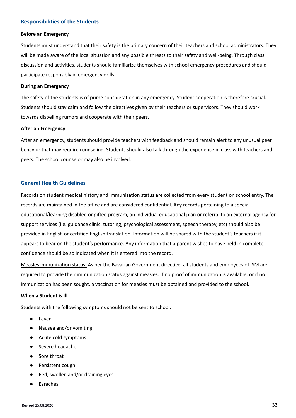## <span id="page-33-0"></span>**Responsibilities of the Students**

#### **Before an Emergency**

Students must understand that their safety is the primary concern of their teachers and school administrators. They will be made aware of the local situation and any possible threats to their safety and well-being. Through class discussion and activities, students should familiarize themselves with school emergency procedures and should participate responsibly in emergency drills.

#### **During an Emergency**

The safety of the students is of prime consideration in any emergency. Student cooperation is therefore crucial. Students should stay calm and follow the directives given by their teachers or supervisors. They should work towards dispelling rumors and cooperate with their peers.

#### **After an Emergency**

After an emergency, students should provide teachers with feedback and should remain alert to any unusual peer behavior that may require counseling. Students should also talk through the experience in class with teachers and peers. The school counselor may also be involved.

## <span id="page-33-1"></span>**General Health Guidelines**

Records on student medical history and immunization status are collected from every student on school entry. The records are maintained in the office and are considered confidential. Any records pertaining to a special educational/learning disabled or gifted program, an individual educational plan or referral to an external agency for support services (i.e. guidance clinic, tutoring, psychological assessment, speech therapy, etc) should also be provided in English or certified English translation. Information will be shared with the student's teachers if it appears to bear on the student's performance. Any information that a parent wishes to have held in complete confidence should be so indicated when it is entered into the record.

Measles immunization status: As per the Bavarian Government directive, all students and employees of ISM are required to provide their immunization status against measles. If no proof of immunization is available, or if no immunization has been sought, a vaccination for measles must be obtained and provided to the school.

## **When a Student is Ill**

Students with the following symptoms should not be sent to school:

- Fever
- Nausea and/or vomiting
- Acute cold symptoms
- Severe headache
- Sore throat
- Persistent cough
- Red, swollen and/or draining eyes
- Earaches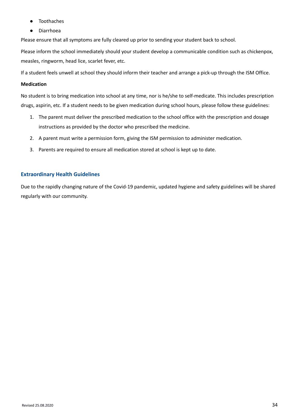- **Toothaches**
- **Diarrhoea**

Please ensure that all symptoms are fully cleared up prior to sending your student back to school.

Please inform the school immediately should your student develop a communicable condition such as chickenpox, measles, ringworm, head lice, scarlet fever, etc.

If a student feels unwell at school they should inform their teacher and arrange a pick-up through the ISM Office.

## **Medication**

No student is to bring medication into school at any time, nor is he/she to self-medicate. This includes prescription drugs, aspirin, etc. If a student needs to be given medication during school hours, please follow these guidelines:

- 1. The parent must deliver the prescribed medication to the school office with the prescription and dosage instructions as provided by the doctor who prescribed the medicine.
- 2. A parent must write a permission form, giving the ISM permission to administer medication.
- 3. Parents are required to ensure all medication stored at school is kept up to date.

## <span id="page-34-0"></span>**Extraordinary Health Guidelines**

Due to the rapidly changing nature of the Covid-19 pandemic, updated hygiene and safety guidelines will be shared regularly with our community.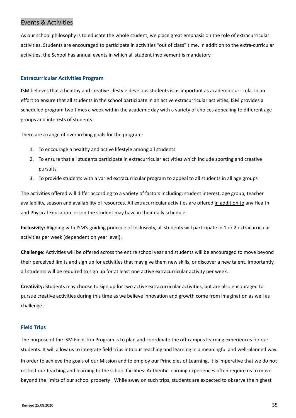## <span id="page-35-0"></span>Events & Activities

As our school philosophy is to educate the whole student, we place great emphasis on the role of extracurricular activities. Students are encouraged to participate in activities "out of class" time. In addition to the extra-curricular activities, the School has annual events in which all student involvement is mandatory.

## <span id="page-35-1"></span>**Extracurricular Activities Program**

ISM believes that a healthy and creative lifestyle develops students is as important as academic curricula. In an effort to ensure that all students in the school participate in an active extracurricular activities, ISM provides a scheduled program two times a week within the academic day with a variety of choices appealing to different age groups and interests of students.

There are a range of overarching goals for the program:

- 1. To encourage a healthy and active lifestyle among all students
- 2. To ensure that all students participate in extracurricular activities which include sporting and creative pursuits
- 3. To provide students with a varied extracurricular program to appeal to all students in all age groups

The activities offered will differ according to a variety of factors including: student interest, age group, teacher availability, season and availability of resources. All extracurricular activities are offered in addition to any Health and Physical Education lesson the student may have in their daily schedule.

**Inclusivity:** Aligning with ISM's guiding principle of Inclusivity, all students will participate in 1 or 2 extracurricular activities per week (dependent on year level).

**Challenge:** Activities will be offered across the entire school year and students will be encouraged to move beyond their perceived limits and sign up for activities that may give them new skills, or discover a new talent. Importantly, all students will be required to sign up for at least one active extracurricular activity per week.

**Creativity:** Students may choose to sign up for two active extracurricular activities, but are also encouraged to pursue creative activities during this time as we believe innovation and growth come from imagination as well as challenge.

## <span id="page-35-2"></span>**Field Trips**

The purpose of the ISM Field Trip Program is to plan and coordinate the off-campus learning experiences for our students. It will allow us to integrate field trips into our teaching and learning in a meaningful and well-planned way. In order to achieve the goals of our Mission and to employ our Principles of Learning, it is imperative that we do not restrict our teaching and learning to the school facilities. Authentic learning experiences often require us to move beyond the limits of our school property . While away on such trips, students are expected to observe the highest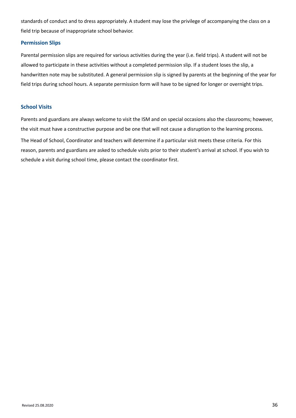standards of conduct and to dress appropriately. A student may lose the privilege of accompanying the class on a field trip because of inappropriate school behavior.

## <span id="page-36-0"></span>**Permission Slips**

Parental permission slips are required for various activities during the year (i.e. field trips). A student will not be allowed to participate in these activities without a completed permission slip. If a student loses the slip, a handwritten note may be substituted. A general permission slip is signed by parents at the beginning of the year for field trips during school hours. A separate permission form will have to be signed for longer or overnight trips.

## <span id="page-36-1"></span>**School Visits**

Parents and guardians are always welcome to visit the ISM and on special occasions also the classrooms; however, the visit must have a constructive purpose and be one that will not cause a disruption to the learning process. The Head of School, Coordinator and teachers will determine if a particular visit meets these criteria. For this reason, parents and guardians are asked to schedule visits prior to their student's arrival at school. If you wish to schedule a visit during school time, please contact the coordinator first.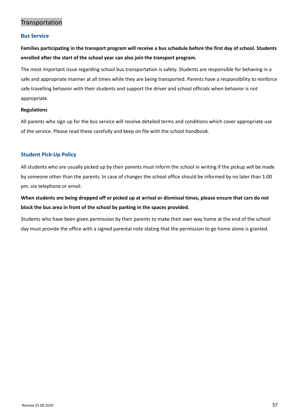## <span id="page-37-0"></span>Transportation

## <span id="page-37-1"></span>**Bus Service**

Families participating in the transport program will receive a bus schedule before the first day of school. Students **enrolled after the start of the school year can also join the transport program.**

The most important issue regarding school bus transportation is safety. Students are responsible for behaving in a safe and appropriate manner at all times while they are being transported. Parents have a responsibility to reinforce safe travelling behavior with their students and support the driver and school officials when behavior is not appropriate.

## **Regulations**

All parents who sign up for the bus service will receive detailed terms and conditions which cover appropriate use of the service. Please read these carefully and keep on file with the school handbook.

## <span id="page-37-2"></span>**Student Pick-Up Policy**

All students who are usually picked up by their parents must inform the school in writing if the pickup will be made by someone other than the parents. In case of changes the school office should be informed by no later than 1:00 pm. via telephone or email.

When students are being dropped off or picked up at arrival or dismissal times, please ensure that cars do not **block the bus area in front of the school by parking in the spaces provided.**

Students who have been given permission by their parents to make their own way home at the end of the school day must provide the office with a signed parental note stating that the permission to go home alone is granted.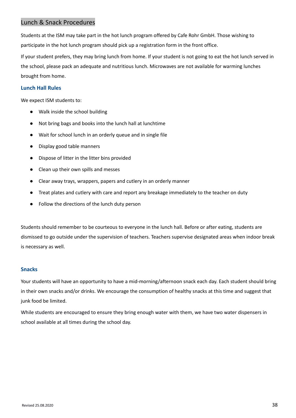# <span id="page-38-0"></span>Lunch & Snack Procedures

Students at the ISM may take part in the hot lunch program offered by Cafe Rohr GmbH. Those wishing to participate in the hot lunch program should pick up a registration form in the front office.

If your student prefers, they may bring lunch from home. If your student is not going to eat the hot lunch served in the school, please pack an adequate and nutritious lunch. Microwaves are not available for warming lunches brought from home.

## <span id="page-38-1"></span>**Lunch Hall Rules**

We expect ISM students to:

- Walk inside the school building
- Not bring bags and books into the lunch hall at lunchtime
- Wait for school lunch in an orderly queue and in single file
- Display good table manners
- Dispose of litter in the litter bins provided
- Clean up their own spills and messes
- Clear away trays, wrappers, papers and cutlery in an orderly manner
- Treat plates and cutlery with care and report any breakage immediately to the teacher on duty
- Follow the directions of the lunch duty person

Students should remember to be courteous to everyone in the lunch hall. Before or after eating, students are dismissed to go outside under the supervision of teachers. Teachers supervise designated areas when indoor break is necessary as well.

## <span id="page-38-2"></span>**Snacks**

Your students will have an opportunity to have a mid-morning/afternoon snack each day. Each student should bring in their own snacks and/or drinks. We encourage the consumption of healthy snacks at this time and suggest that junk food be limited.

While students are encouraged to ensure they bring enough water with them, we have two water dispensers in school available at all times during the school day.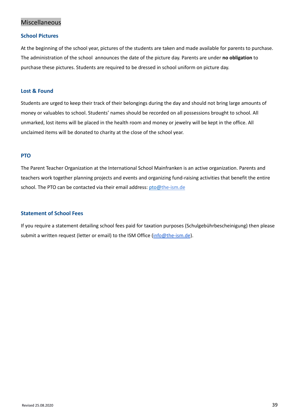# <span id="page-39-0"></span>Miscellaneous

## <span id="page-39-1"></span>**School Pictures**

At the beginning of the school year, pictures of the students are taken and made available for parents to purchase. The administration of the school announces the date of the picture day. Parents are under **no obligation** to purchase these pictures. Students are required to be dressed in school uniform on picture day.

## <span id="page-39-2"></span>**Lost & Found**

Students are urged to keep their track of their belongings during the day and should not bring large amounts of money or valuables to school. Students' names should be recorded on all possessions brought to school. All unmarked, lost items will be placed in the health room and money or jewelry will be kept in the office. All unclaimed items will be donated to charity at the close of the school year.

## <span id="page-39-3"></span>**PTO**

The Parent Teacher Organization at the International School Mainfranken is an active organization. Parents and teachers work together planning projects and events and organizing fund-raising activities that benefit the entire school. The PTO can be contacted via their email address: [pto@](mailto:pto@international-school-mainfranken.de)the-ism.de

## <span id="page-39-4"></span>**Statement of School Fees**

If you require a statement detailing school fees paid for taxation purposes (Schulgebührbescheinigung) then please submit a written request (letter or email) to the ISM Office ([info@the-ism.de](mailto:info@the-ism.de)).